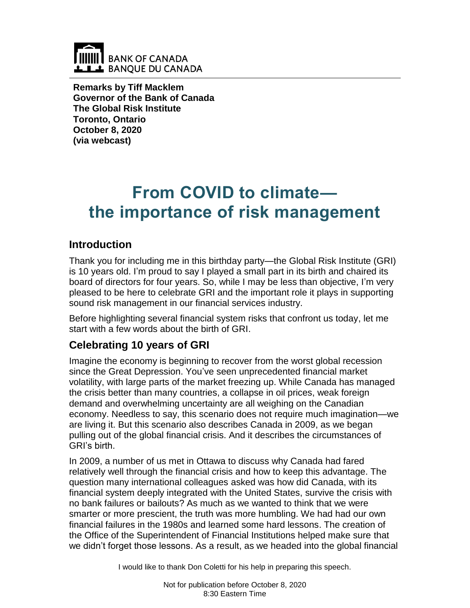

**Remarks by Tiff Macklem Governor of the Bank of Canada The Global Risk Institute Toronto, Ontario October 8, 2020 (via webcast)**

# **From COVID to climate the importance of risk management**

## **Introduction**

Thank you for including me in this birthday party—the Global Risk Institute (GRI) is 10 years old. I'm proud to say I played a small part in its birth and chaired its board of directors for four years. So, while I may be less than objective, I'm very pleased to be here to celebrate GRI and the important role it plays in supporting sound risk management in our financial services industry.

Before highlighting several financial system risks that confront us today, let me start with a few words about the birth of GRI.

## **Celebrating 10 years of GRI**

Imagine the economy is beginning to recover from the worst global recession since the Great Depression. You've seen unprecedented financial market volatility, with large parts of the market freezing up. While Canada has managed the crisis better than many countries, a collapse in oil prices, weak foreign demand and overwhelming uncertainty are all weighing on the Canadian economy. Needless to say, this scenario does not require much imagination—we are living it. But this scenario also describes Canada in 2009, as we began pulling out of the global financial crisis. And it describes the circumstances of GRI's birth.

In 2009, a number of us met in Ottawa to discuss why Canada had fared relatively well through the financial crisis and how to keep this advantage. The question many international colleagues asked was how did Canada, with its financial system deeply integrated with the United States, survive the crisis with no bank failures or bailouts? As much as we wanted to think that we were smarter or more prescient, the truth was more humbling. We had had our own financial failures in the 1980s and learned some hard lessons. The creation of the Office of the Superintendent of Financial Institutions helped make sure that we didn't forget those lessons. As a result, as we headed into the global financial

I would like to thank Don Coletti for his help in preparing this speech.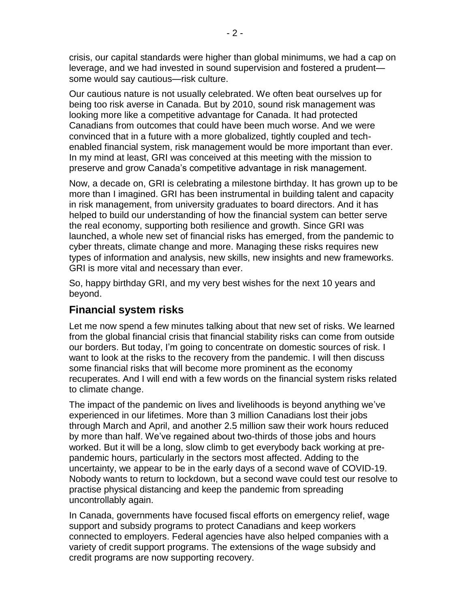crisis, our capital standards were higher than global minimums, we had a cap on leverage, and we had invested in sound supervision and fostered a prudent some would say cautious—risk culture.

Our cautious nature is not usually celebrated. We often beat ourselves up for being too risk averse in Canada. But by 2010, sound risk management was looking more like a competitive advantage for Canada. It had protected Canadians from outcomes that could have been much worse. And we were convinced that in a future with a more globalized, tightly coupled and techenabled financial system, risk management would be more important than ever. In my mind at least, GRI was conceived at this meeting with the mission to preserve and grow Canada's competitive advantage in risk management.

Now, a decade on, GRI is celebrating a milestone birthday. It has grown up to be more than I imagined. GRI has been instrumental in building talent and capacity in risk management, from university graduates to board directors. And it has helped to build our understanding of how the financial system can better serve the real economy, supporting both resilience and growth. Since GRI was launched, a whole new set of financial risks has emerged, from the pandemic to cyber threats, climate change and more. Managing these risks requires new types of information and analysis, new skills, new insights and new frameworks. GRI is more vital and necessary than ever.

So, happy birthday GRI, and my very best wishes for the next 10 years and beyond.

## **Financial system risks**

Let me now spend a few minutes talking about that new set of risks. We learned from the global financial crisis that financial stability risks can come from outside our borders. But today, I'm going to concentrate on domestic sources of risk. I want to look at the risks to the recovery from the pandemic. I will then discuss some financial risks that will become more prominent as the economy recuperates. And I will end with a few words on the financial system risks related to climate change.

The impact of the pandemic on lives and livelihoods is beyond anything we've experienced in our lifetimes. More than 3 million Canadians lost their jobs through March and April, and another 2.5 million saw their work hours reduced by more than half. We've regained about two-thirds of those jobs and hours worked. But it will be a long, slow climb to get everybody back working at prepandemic hours, particularly in the sectors most affected. Adding to the uncertainty, we appear to be in the early days of a second wave of COVID-19. Nobody wants to return to lockdown, but a second wave could test our resolve to practise physical distancing and keep the pandemic from spreading uncontrollably again.

In Canada, governments have focused fiscal efforts on emergency relief, wage support and subsidy programs to protect Canadians and keep workers connected to employers. Federal agencies have also helped companies with a variety of credit support programs. The extensions of the wage subsidy and credit programs are now supporting recovery.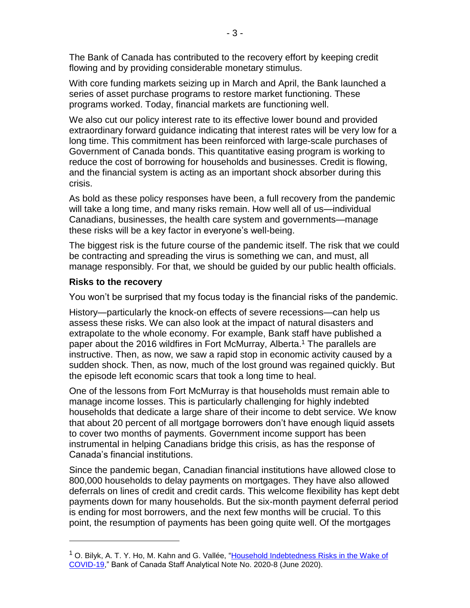The Bank of Canada has contributed to the recovery effort by keeping credit flowing and by providing considerable monetary stimulus.

With core funding markets seizing up in March and April, the Bank launched a series of asset purchase programs to restore market functioning. These programs worked. Today, financial markets are functioning well.

We also cut our policy interest rate to its effective lower bound and provided extraordinary forward guidance indicating that interest rates will be very low for a long time. This commitment has been reinforced with large-scale purchases of Government of Canada bonds. This quantitative easing program is working to reduce the cost of borrowing for households and businesses. Credit is flowing, and the financial system is acting as an important shock absorber during this crisis.

As bold as these policy responses have been, a full recovery from the pandemic will take a long time, and many risks remain. How well all of us—individual Canadians, businesses, the health care system and governments—manage these risks will be a key factor in everyone's well-being.

The biggest risk is the future course of the pandemic itself. The risk that we could be contracting and spreading the virus is something we can, and must, all manage responsibly. For that, we should be guided by our public health officials.

## **Risks to the recovery**

 $\overline{a}$ 

You won't be surprised that my focus today is the financial risks of the pandemic.

History—particularly the knock-on effects of severe recessions—can help us assess these risks. We can also look at the impact of natural disasters and extrapolate to the whole economy. For example, Bank staff have published a paper about the 2016 wildfires in Fort McMurray, Alberta. <sup>1</sup> The parallels are instructive. Then, as now, we saw a rapid stop in economic activity caused by a sudden shock. Then, as now, much of the lost ground was regained quickly. But the episode left economic scars that took a long time to heal.

One of the lessons from Fort McMurray is that households must remain able to manage income losses. This is particularly challenging for highly indebted households that dedicate a large share of their income to debt service. We know that about 20 percent of all mortgage borrowers don't have enough liquid assets to cover two months of payments. Government income support has been instrumental in helping Canadians bridge this crisis, as has the response of Canada's financial institutions.

Since the pandemic began, Canadian financial institutions have allowed close to 800,000 households to delay payments on mortgages. They have also allowed deferrals on lines of credit and credit cards. This welcome flexibility has kept debt payments down for many households. But the six-month payment deferral period is ending for most borrowers, and the next few months will be crucial. To this point, the resumption of payments has been going quite well. Of the mortgages

<sup>&</sup>lt;sup>1</sup> O. Bilyk, A. T. Y. Ho, M. Kahn and G. Vallée, "Household Indebtedness Risks in the Wake of [COVID-19,](https://www.bankofcanada.ca/2020/06/staff-analytical-note-2020-8/)" Bank of Canada Staff Analytical Note No. 2020-8 (June 2020).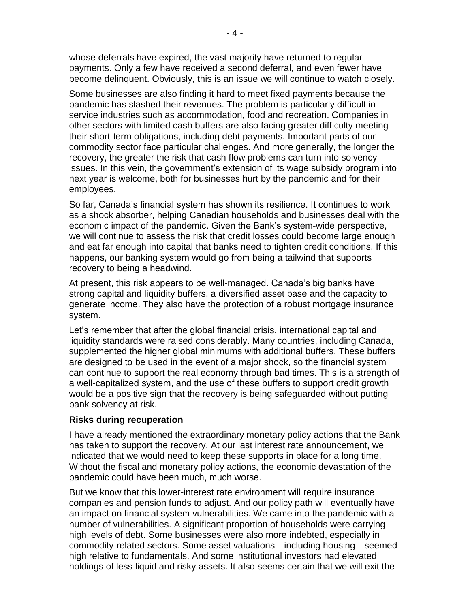whose deferrals have expired, the vast majority have returned to regular payments. Only a few have received a second deferral, and even fewer have become delinquent. Obviously, this is an issue we will continue to watch closely.

Some businesses are also finding it hard to meet fixed payments because the pandemic has slashed their revenues. The problem is particularly difficult in service industries such as accommodation, food and recreation. Companies in other sectors with limited cash buffers are also facing greater difficulty meeting their short-term obligations, including debt payments. Important parts of our commodity sector face particular challenges. And more generally, the longer the recovery, the greater the risk that cash flow problems can turn into solvency issues. In this vein, the government's extension of its wage subsidy program into next year is welcome, both for businesses hurt by the pandemic and for their employees.

So far, Canada's financial system has shown its resilience. It continues to work as a shock absorber, helping Canadian households and businesses deal with the economic impact of the pandemic. Given the Bank's system-wide perspective, we will continue to assess the risk that credit losses could become large enough and eat far enough into capital that banks need to tighten credit conditions. If this happens, our banking system would go from being a tailwind that supports recovery to being a headwind.

At present, this risk appears to be well-managed. Canada's big banks have strong capital and liquidity buffers, a diversified asset base and the capacity to generate income. They also have the protection of a robust mortgage insurance system.

Let's remember that after the global financial crisis, international capital and liquidity standards were raised considerably. Many countries, including Canada, supplemented the higher global minimums with additional buffers. These buffers are designed to be used in the event of a major shock, so the financial system can continue to support the real economy through bad times. This is a strength of a well-capitalized system, and the use of these buffers to support credit growth would be a positive sign that the recovery is being safeguarded without putting bank solvency at risk.

### **Risks during recuperation**

I have already mentioned the extraordinary monetary policy actions that the Bank has taken to support the recovery. At our last interest rate announcement, we indicated that we would need to keep these supports in place for a long time. Without the fiscal and monetary policy actions, the economic devastation of the pandemic could have been much, much worse.

But we know that this lower-interest rate environment will require insurance companies and pension funds to adjust. And our policy path will eventually have an impact on financial system vulnerabilities. We came into the pandemic with a number of vulnerabilities. A significant proportion of households were carrying high levels of debt. Some businesses were also more indebted, especially in commodity-related sectors. Some asset valuations—including housing—seemed high relative to fundamentals. And some institutional investors had elevated holdings of less liquid and risky assets. It also seems certain that we will exit the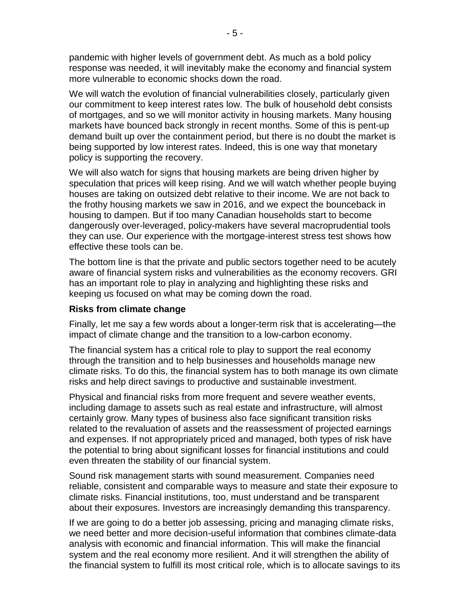pandemic with higher levels of government debt. As much as a bold policy response was needed, it will inevitably make the economy and financial system more vulnerable to economic shocks down the road.

We will watch the evolution of financial vulnerabilities closely, particularly given our commitment to keep interest rates low. The bulk of household debt consists of mortgages, and so we will monitor activity in housing markets. Many housing markets have bounced back strongly in recent months. Some of this is pent-up demand built up over the containment period, but there is no doubt the market is being supported by low interest rates. Indeed, this is one way that monetary policy is supporting the recovery.

We will also watch for signs that housing markets are being driven higher by speculation that prices will keep rising. And we will watch whether people buying houses are taking on outsized debt relative to their income. We are not back to the frothy housing markets we saw in 2016, and we expect the bounceback in housing to dampen. But if too many Canadian households start to become dangerously over-leveraged, policy-makers have several macroprudential tools they can use. Our experience with the mortgage-interest stress test shows how effective these tools can be.

The bottom line is that the private and public sectors together need to be acutely aware of financial system risks and vulnerabilities as the economy recovers. GRI has an important role to play in analyzing and highlighting these risks and keeping us focused on what may be coming down the road.

### **Risks from climate change**

Finally, let me say a few words about a longer-term risk that is accelerating—the impact of climate change and the transition to a low-carbon economy.

The financial system has a critical role to play to support the real economy through the transition and to help businesses and households manage new climate risks. To do this, the financial system has to both manage its own climate risks and help direct savings to productive and sustainable investment.

Physical and financial risks from more frequent and severe weather events, including damage to assets such as real estate and infrastructure, will almost certainly grow. Many types of business also face significant transition risks related to the revaluation of assets and the reassessment of projected earnings and expenses. If not appropriately priced and managed, both types of risk have the potential to bring about significant losses for financial institutions and could even threaten the stability of our financial system.

Sound risk management starts with sound measurement. Companies need reliable, consistent and comparable ways to measure and state their exposure to climate risks. Financial institutions, too, must understand and be transparent about their exposures. Investors are increasingly demanding this transparency.

If we are going to do a better job assessing, pricing and managing climate risks, we need better and more decision-useful information that combines climate-data analysis with economic and financial information. This will make the financial system and the real economy more resilient. And it will strengthen the ability of the financial system to fulfill its most critical role, which is to allocate savings to its